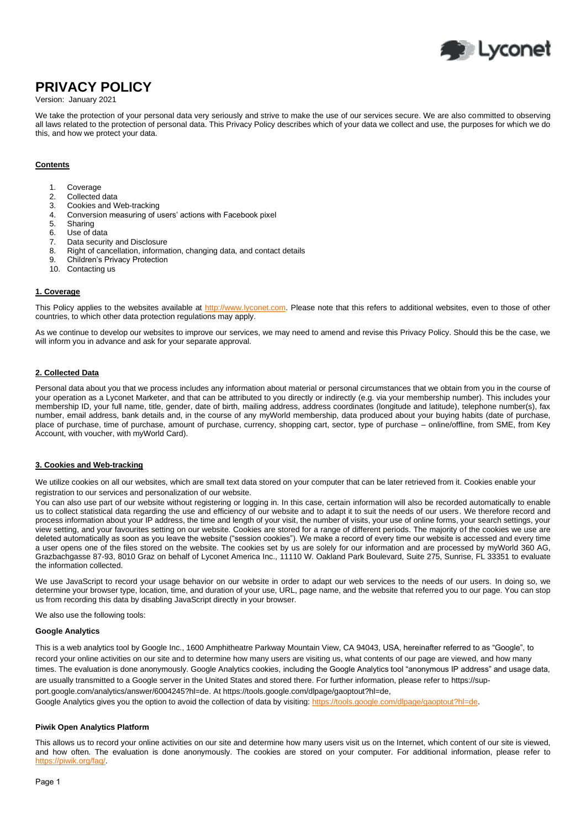

# **PRIVACY POLICY**

## Version: January 2021

We take the protection of your personal data very seriously and strive to make the use of our services secure. We are also committed to observing all laws related to the protection of personal data. This Privacy Policy describes which of your data we collect and use, the purposes for which we do this, and how we protect your data.

## **Contents**

- 1. Coverage
- 2. Collected data
- 3. Cookies and Web-tracking
- 4. Conversion measuring of users' actions with Facebook pixel
- Sharing
- 6. Use of data
- 7. Data security and Disclosure
- 8. Right of cancellation, information, changing data, and contact details
- 9. Children's Privacy Protection
- 10. Contacting us

#### **1. Coverage**

This Policy applies to the websites available at [http://www.lyconet.com.](http://www.lyconet.com/) Please note that this refers to additional websites, even to those of other countries, to which other data protection regulations may apply.

As we continue to develop our websites to improve our services, we may need to amend and revise this Privacy Policy. Should this be the case, we will inform you in advance and ask for your separate approval.

# **2. Collected Data**

Personal data about you that we process includes any information about material or personal circumstances that we obtain from you in the course of your operation as a Lyconet Marketer, and that can be attributed to you directly or indirectly (e.g. via your membership number). This includes your membership ID, your full name, title, gender, date of birth, mailing address, address coordinates (longitude and latitude), telephone number(s), fax number, email address, bank details and, in the course of any myWorld membership, data produced about your buying habits (date of purchase, place of purchase, time of purchase, amount of purchase, currency, shopping cart, sector, type of purchase – online/offline, from SME, from Key Account, with voucher, with myWorld Card).

#### **3. Cookies and Web-tracking**

We utilize cookies on all our websites, which are small text data stored on your computer that can be later retrieved from it. Cookies enable your registration to our services and personalization of our website.

You can also use part of our website without registering or logging in. In this case, certain information will also be recorded automatically to enable us to collect statistical data regarding the use and efficiency of our website and to adapt it to suit the needs of our users. We therefore record and process information about your IP address, the time and length of your visit, the number of visits, your use of online forms, your search settings, your view setting, and your favourites setting on our website. Cookies are stored for a range of different periods. The majority of the cookies we use are deleted automatically as soon as you leave the website ("session cookies"). We make a record of every time our website is accessed and every time a user opens one of the files stored on the website. The cookies set by us are solely for our information and are processed by myWorld 360 AG, Grazbachgasse 87-93, 8010 Graz on behalf of Lyconet America Inc., 11110 W. Oakland Park Boulevard, Suite 275, Sunrise, FL 33351 to evaluate the information collected.

We use JavaScript to record your usage behavior on our website in order to adapt our web services to the needs of our users. In doing so, we determine your browser type, location, time, and duration of your use, URL, page name, and the website that referred you to our page. You can stop us from recording this data by disabling JavaScript directly in your browser.

We also use the following tools:

#### **Google Analytics**

This is a web analytics tool by Google Inc., 1600 Amphitheatre Parkway Mountain View, CA 94043, USA, hereinafter referred to as "Google", to record your online activities on our site and to determine how many users are visiting us, what contents of our page are viewed, and how many times. The evaluation is done anonymously. Google Analytics cookies, including the Google Analytics tool "anonymous IP address" and usage data, are usually transmitted to a Google server in the United States and stored there. For further information, please refer t[o https://sup](https://support.google.com/analytics/answer/6004245?hl=de)[port.google.com/analytics/answer/6004245?hl=de.](https://support.google.com/analytics/answer/6004245?hl=de) A[t https://tools.google.com/dlpage/gaoptout?hl=de,](https://tools.google.com/dlpage/gaoptout?hl=de) Google Analytics gives you the option to avoid the collection of data by visiting: https://tools.google.com/dlpage/gaoptout?hl=de.

#### **Piwik Open Analytics Platform**

This allows us to record your online activities on our site and determine how many users visit us on the Internet, which content of our site is viewed, and how often. The evaluation is done anonymously. The cookies are stored on your computer. For additional information, please refer to http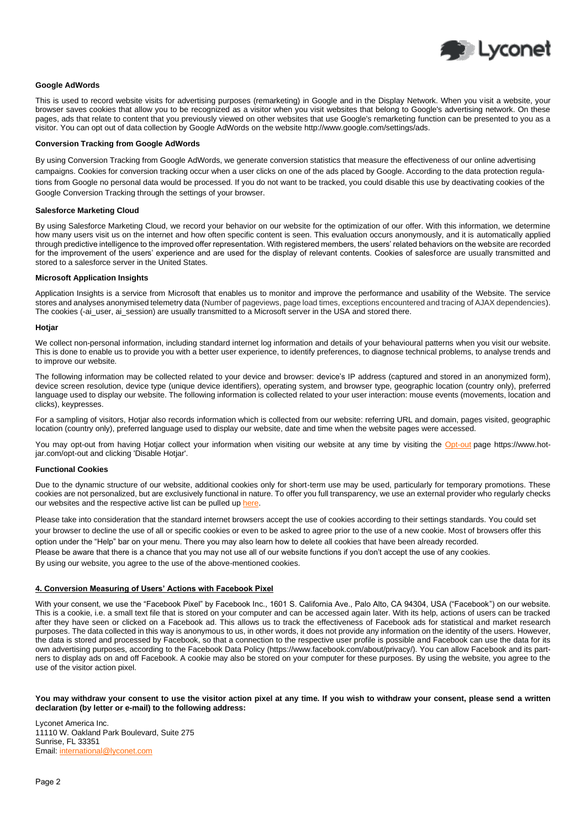

## **Google AdWords**

This is used to record website visits for advertising purposes (remarketing) in Google and in the Display Network. When you visit a website, your browser saves cookies that allow you to be recognized as a visitor when you visit websites that belong to Google's advertising network. On these pages, ads that relate to content that you previously viewed on other websites that use Google's remarketing function can be presented to you as a visitor. You can opt out of data collection by Google AdWords on the website http://www.google.com/settings/ads.

## **Conversion Tracking from Google AdWords**

By using Conversion Tracking from Google AdWords, we generate conversion statistics that measure the effectiveness of our online advertising campaigns. Cookies for conversion tracking occur when a user clicks on one of the ads placed by Google. According to the data protection regulations from Google no personal data would be processed. If you do not want to be tracked, you could disable this use by deactivating cookies of the Google Conversion Tracking through the settings of your browser.

#### **Salesforce Marketing Cloud**

By using Salesforce Marketing Cloud, we record your behavior on our website for the optimization of our offer. With this information, we determine how many users visit us on the internet and how often specific content is seen. This evaluation occurs anonymously, and it is automatically applied through predictive intelligence to the improved offer representation. With registered members, the users' related behaviors on the website are recorded for the improvement of the users' experience and are used for the display of relevant contents. Cookies of salesforce are usually transmitted and stored to a salesforce server in the United States.

#### **Microsoft Application Insights**

Application Insights is a service from Microsoft that enables us to monitor and improve the performance and usability of the Website. The service stores and analyses anonymised telemetry data (Number of pageviews, page load times, exceptions encountered and tracing of AJAX dependencies). The cookies (-ai\_user, ai\_session) are usually transmitted to a Microsoft server in the USA and stored there.

#### **Hotjar**

We collect non-personal information, including standard internet log information and details of your behavioural patterns when you visit our website. This is done to enable us to provide you with a better user experience, to identify preferences, to diagnose technical problems, to analyse trends and to improve our website.

The following information may be collected related to your device and browser: device's IP address (captured and stored in an anonymized form), device screen resolution, device type (unique device identifiers), operating system, and browser type, geographic location (country only), preferred language used to display our website. The following information is collected related to your user interaction: mouse events (movements, location and clicks), keypresses.

For a sampling of visitors, Hotjar also records information which is collected from our website: referring URL and domain, pages visited, geographic location (country only), preferred language used to display our website, date and time when the website pages were accessed.

You may opt-out from having Hotjar collect your information when visiting our website at any time by visiting the [Opt-out](https://www.hotjar.com/opt-out) page https://www.hotjar.com/opt-out and clicking 'Disable Hotjar'.

#### **Functional Cookies**

Due to the dynamic structure of our website, additional cookies only for short-term use may be used, particularly for temporary promotions. These cookies are not personalized, but are exclusively functional in nature. To offer you full transparency, we use an external provider who regularly checks our websites and the respective active list can be pulled up [here.](https://l.mwscdn.io/large/download/public/agreements/linksprivacypolicy/privacy_policy_functional_cookies.pdf)

Please take into consideration that the standard internet browsers accept the use of cookies according to their settings standards. You could set your browser to decline the use of all or specific cookies or even to be asked to agree prior to the use of a new cookie. Most of browsers offer this option under the "Help" bar on your menu. There you may also learn how to delete all cookies that have been already recorded. Please be aware that there is a chance that you may not use all of our website functions if you don't accept the use of any cookies. By using our website, you agree to the use of the above-mentioned cookies.

#### **4. Conversion Measuring of Users' Actions with Facebook Pixel**

With your consent, we use the "Facebook Pixel" by Facebook Inc., 1601 S. California Ave., Palo Alto, CA 94304, USA ("Facebook") on our website. This is a cookie, i.e. a small text file that is stored on your computer and can be accessed again later. With its help, actions of users can be tracked after they have seen or clicked on a Facebook ad. This allows us to track the effectiveness of Facebook ads for statistical and market research purposes. The data collected in this way is anonymous to us, in other words, it does not provide any information on the identity of the users. However, the data is stored and processed by Facebook, so that a connection to the respective user profile is possible and Facebook can use the data for its own advertising purposes, according to the Facebook Data Policy (https://www.facebook.com/about/privacy/). You can allow Facebook and its partners to display ads on and off Facebook. A cookie may also be stored on your computer for these purposes. By using the website, you agree to the use of the visitor action pixel.

#### **You may withdraw your consent to use the visitor action pixel at any time. If you wish to withdraw your consent, please send a written declaration (by letter or e-mail) to the following address:**

Lyconet America Inc. 11110 W. Oakland Park Boulevard, Suite 275 Sunrise, FL 33351 Email[: international@lyconet.com](mailto:international@lyconet.com)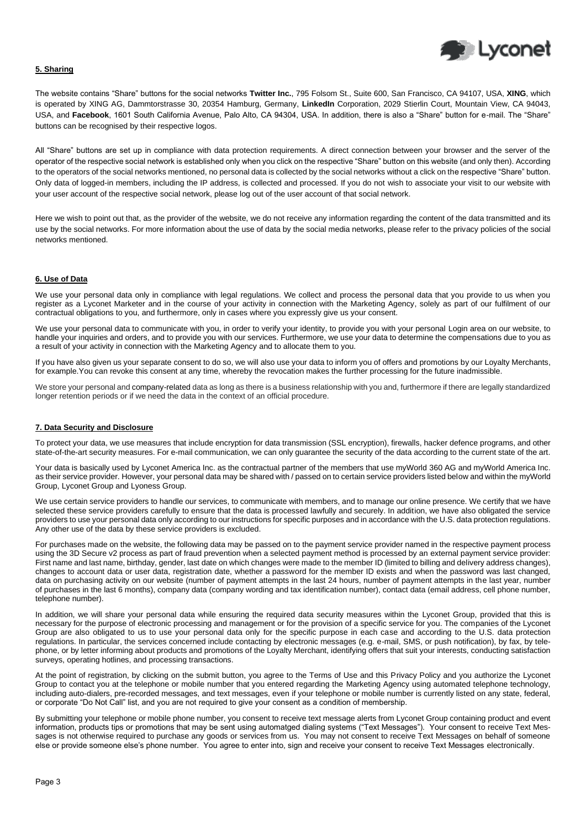

# **5. Sharing**

The website contains "Share" buttons for the social networks **Twitter Inc.**, 795 Folsom St., Suite 600, San Francisco, CA 94107, USA, **XING**, which is operated by XING AG, Dammtorstrasse 30, 20354 Hamburg, Germany, **LinkedIn** Corporation, 2029 Stierlin Court, Mountain View, CA 94043, USA, and **Facebook**, 1601 South California Avenue, Palo Alto, CA 94304, USA. In addition, there is also a "Share" button for e-mail. The "Share" buttons can be recognised by their respective logos.

All "Share" buttons are set up in compliance with data protection requirements. A direct connection between your browser and the server of the operator of the respective social network is established only when you click on the respective "Share" button on this website (and only then). According to the operators of the social networks mentioned, no personal data is collected by the social networks without a click on the respective "Share" button. Only data of logged-in members, including the IP address, is collected and processed. If you do not wish to associate your visit to our website with your user account of the respective social network, please log out of the user account of that social network.

Here we wish to point out that, as the provider of the website, we do not receive any information regarding the content of the data transmitted and its use by the social networks. For more information about the use of data by the social media networks, please refer to the privacy policies of the social networks mentioned.

## **6. Use of Data**

We use your personal data only in compliance with legal regulations. We collect and process the personal data that you provide to us when you register as a Lyconet Marketer and in the course of your activity in connection with the Marketing Agency, solely as part of our fulfilment of our contractual obligations to you, and furthermore, only in cases where you expressly give us your consent.

We use your personal data to communicate with you, in order to verify your identity, to provide you with your personal Login area on our website, to handle your inquiries and orders, and to provide you with our services. Furthermore, we use your data to determine the compensations due to you as a result of your activity in connection with the Marketing Agency and to allocate them to you.

If you have also given us your separate consent to do so, we will also use your data to inform you of offers and promotions by our Loyalty Merchants, for example.You can revoke this consent at any time, whereby the revocation makes the further processing for the future inadmissible.

We store your personal and company-related data as long as there is a business relationship with you and, furthermore if there are legally standardized longer retention periods or if we need the data in the context of an official procedure.

## **7. Data Security and Disclosure**

To protect your data, we use measures that include encryption for data transmission (SSL encryption), firewalls, hacker defence programs, and other state-of-the-art security measures. For e-mail communication, we can only guarantee the security of the data according to the current state of the art.

Your data is basically used by Lyconet America Inc. as the contractual partner of the members that use myWorld 360 AG and myWorld America Inc. as their service provider. However, your personal data may be shared with / passed on to certain service providers listed below and within the myWorld Group, Lyconet Group and Lyoness Group.

We use certain service providers to handle our services, to communicate with members, and to manage our online presence. We certify that we have selected these service providers carefully to ensure that the data is processed lawfully and securely. In addition, we have also obligated the service providers to use your personal data only according to our instructions for specific purposes and in accordance with the U.S. data protection regulations. Any other use of the data by these service providers is excluded.

For purchases made on the website, the following data may be passed on to the payment service provider named in the respective payment process using the 3D Secure v2 process as part of fraud prevention when a selected payment method is processed by an external payment service provider: First name and last name, birthday, gender, last date on which changes were made to the member ID (limited to billing and delivery address changes), changes to account data or user data, registration date, whether a password for the member ID exists and when the password was last changed, data on purchasing activity on our website (number of payment attempts in the last 24 hours, number of payment attempts in the last year, number of purchases in the last 6 months), company data (company wording and tax identification number), contact data (email address, cell phone number, telephone number).

In addition, we will share your personal data while ensuring the required data security measures within the Lyconet Group, provided that this is necessary for the purpose of electronic processing and management or for the provision of a specific service for you. The companies of the Lyconet Group are also obligated to us to use your personal data only for the specific purpose in each case and according to the U.S. data protection regulations. In particular, the services concerned include contacting by electronic messages (e.g. e-mail, SMS, or push notification), by fax, by telephone, or by letter informing about products and promotions of the Loyalty Merchant, identifying offers that suit your interests, conducting satisfaction surveys, operating hotlines, and processing transactions.

At the point of registration, by clicking on the submit button, you agree to the Terms of Use and this Privacy Policy and you authorize the Lyconet Group to contact you at the telephone or mobile number that you entered regarding the Marketing Agency using automated telephone technology, including auto-dialers, pre-recorded messages, and text messages, even if your telephone or mobile number is currently listed on any state, federal, or corporate "Do Not Call" list, and you are not required to give your consent as a condition of membership.

By submitting your telephone or mobile phone number, you consent to receive text message alerts from Lyconet Group containing product and event information, products tips or promotions that may be sent using automatged dialing systems ("Text Messages"). Your consent to receive Text Messages is not otherwise required to purchase any goods or services from us. You may not consent to receive Text Messages on behalf of someone else or provide someone else's phone number. You agree to enter into, sign and receive your consent to receive Text Messages electronically.